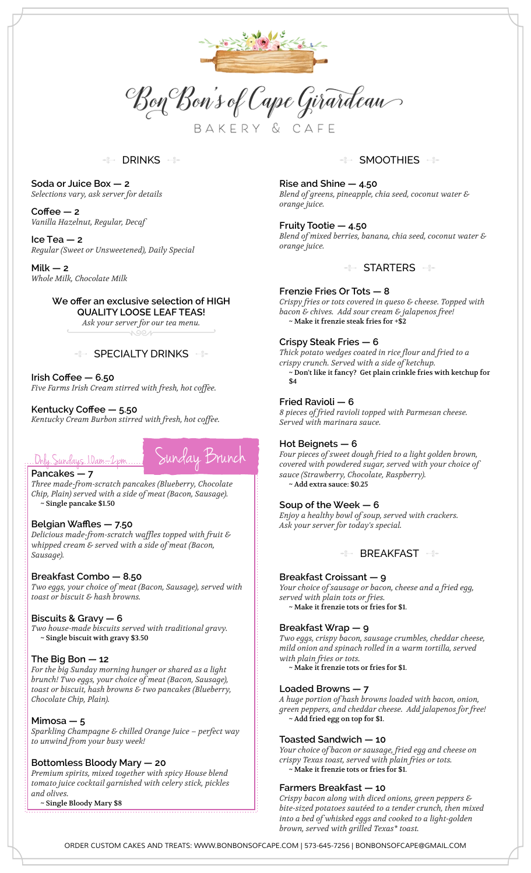

Bon Bon's of Cape Girardeau

BAKERY & CAFE

#### DRINKS -

**Soda or Juice Box — 2** *Selections vary, ask server for details*

**Coffee — 2** *Vanilla Hazelnut, Regular, Decaf*

**Ice Tea — 2** *Regular (Sweet or Unsweetened), Daily Special*

**Milk — 2** *Whole Milk, Chocolate Milk*

#### **We offer an exclusive selection of HIGH**

**QUALITY LOOSE LEAF TEAS!**

*Ask your server for our tea menu.*

#### SPECIALTY DRINKS

**Irish Coffee — 6.50**

*Five Farms Irish Cream stirred with fresh, hot coffee.*

#### **Kentucky Coffee — 5.50**

*Kentucky Cream Burbon stirred with fresh, hot coffee.*



#### **Pancakes — 7**

*Three made-from-scratch pancakes (Blueberry, Chocolate Chip, Plain) served with a side of meat (Bacon, Sausage).* ~ Single pancake \$1.50

## **Belgian Waffles — 7.50**

*Delicious made-from-scratch waffles topped with fruit & whipped cream & served with a side of meat (Bacon, Sausage).*

#### **Breakfast Combo — 8.50**

*Two eggs, your choice of meat (Bacon, Sausage), served with toast or biscuit & hash browns.*

#### **Biscuits & Gravy — 6**

*Two house-made biscuits served with traditional gravy.* ~ Single biscuit with gravy \$3.50

#### **The Big Bon — 12**

*For the big Sunday morning hunger or shared as a light brunch! Two eggs, your choice of meat (Bacon, Sausage), toast or biscuit, hash browns & two pancakes (Blueberry, Chocolate Chip, Plain).*

#### **Mimosa — 5**

*Sparkling Champagne & chilled Orange Juice – perfect way to unwind from your busy week!*

#### **Bottomless Bloody Mary — 20**

*Premium spirits, mixed together with spicy House blend tomato juice cocktail garnished with celery stick, pickles and olives.*

~ Single Bloody Mary \$8

#### $\begin{picture}(120,10) \put(0,0){\line(1,0){10}} \put(0,0){\line(1,0){10}} \put(0,0){\line(1,0){10}} \put(0,0){\line(1,0){10}} \put(0,0){\line(1,0){10}} \put(0,0){\line(1,0){10}} \put(0,0){\line(1,0){10}} \put(0,0){\line(1,0){10}} \put(0,0){\line(1,0){10}} \put(0,0){\line(1,0){10}} \put(0,0){\line(1,0){10}} \put(0,0){\line(1,0){10}} \put(0$ SMOOTHIES -

**Rise and Shine — 4.50** *Blend of greens, pineapple, chia seed, coconut water & orange juice.*

**Fruity Tootie — 4.50** *Blend of mixed berries, banana, chia seed, coconut water & orange juice.*

#### **STARTERS**

#### **Frenzie Fries Or Tots — 8**

*Crispy fries or tots covered in queso & cheese. Topped with bacon & chives. Add sour cream & jalapenos free!* ~ Make it frenzie steak fries for +\$2

#### **Crispy Steak Fries — 6**

*Thick potato wedges coated in rice flour and fried to a crispy crunch. Served with a side of ketchup.*  $\sim$  Don't like it fancy? Get plain crinkle fries with ketchup for \$4

#### **Fried Ravioli — 6**

*8 pieces of fried ravioli topped with Parmesan cheese. Served with marinara sauce.*

#### **Hot Beignets — 6**

*Four pieces of sweet dough fried to a light golden brown, covered with powdered sugar, served with your choice of sauce (Strawberry, Chocolate, Raspberry).* ~ Add extra sauce: \$0.25

## **Soup of the Week — 6**

*Enjoy a healthy bowl of soup, served with crackers. Ask your server for today's special.*

 $\div$  BREAKFAST

#### **Breakfast Croissant — 9**

*Your choice of sausage or bacon, cheese and a fried egg, served with plain tots or fries.* ~ Make it frenzie tots or fries for \$1.

#### **Breakfast Wrap — 9**

*Two eggs, crispy bacon, sausage crumbles, cheddar cheese, mild onion and spinach rolled in a warm tortilla, served with plain fries or tots.*

~ Make it frenzie tots or fries for \$1.

#### **Loaded Browns — 7**

*A huge portion of hash browns loaded with bacon, onion, green peppers, and cheddar cheese. Add jalapenos for free!* ~ Add fried egg on top for \$1.

#### **Toasted Sandwich — 10**

*Your choice of bacon or sausage, fried egg and cheese on crispy Texas toast, served with plain fries or tots.* ~ Make it frenzie tots or fries for \$1.

#### **Farmers Breakfast — 10**

*Crispy bacon along with diced onions, green peppers & bite-sized potatoes sautéed to a tender crunch, then mixed into a bed of whisked eggs and cooked to a light-golden brown, served with grilled Texas\* toast.*

*ORDER CUSTOM CAKES AND TREATS: WWW.BONBONSOFCAPE.COM | 573-645-7256 | BONBONSOFCAPE@GMAIL.COM*